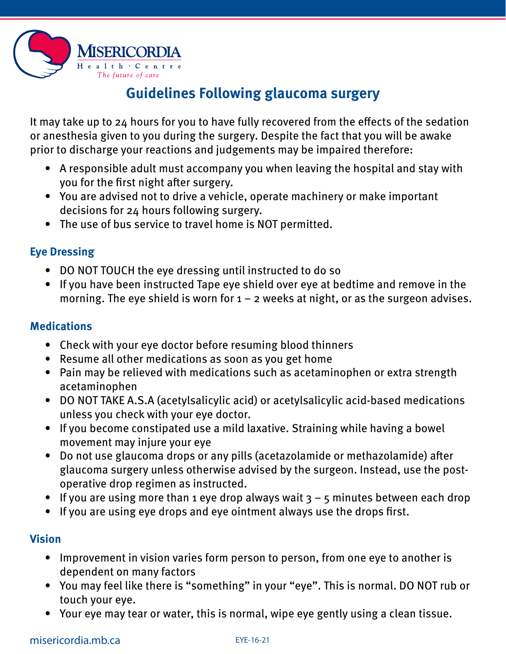

# **Guidelines Following glaucoma surgery**

It may take up to 24 hours for you to have fully recovered from the effects of the sedation or anesthesia given to you during the surgery. Despite the fact that you will be awake prior to discharge your reactions and judgements may be impaired therefore:

- A responsible adult must accompany you when leaving the hospital and stay with you for the first night after surgery.
- You are advised not to drive a vehicle, operate machinery or make important decisions for 24 hours following surgery.
- The use of bus service to travel home is NOT permitted.

### **Eye Dressing**

- DO NOT TOUCH the eye dressing until instructed to do so
- If you have been instructed Tape eye shield over eye at bedtime and remove in the morning. The eye shield is worn for  $1 - 2$  weeks at night, or as the surgeon advises.

## **Medications**

- Check with your eye doctor before resuming blood thinners
- Resume all other medications as soon as you get home
- Pain may be relieved with medications such as acetaminophen or extra strength acetaminophen
- DO NOT TAKE A.S.A (acetylsalicylic acid) or acetylsalicylic acid-based medications unless you check with your eye doctor.
- If you become constipated use a mild laxative. Straining while having a bowel movement may injure your eye
- Do not use glaucoma drops or any pills (acetazolamide or methazolamide) after glaucoma surgery unless otherwise advised by the surgeon. Instead, use the postoperative drop regimen as instructed.
- If you are using more than 1 eye drop always wait  $3 5$  minutes between each drop
- If you are using eye drops and eye ointment always use the drops first.

# **Vision**

- Improvement in vision varies form person to person, from one eye to another is dependent on many factors
- You may feel like there is "something" in your "eye". This is normal. DO NOT rub or touch your eye.
- Your eye may tear or water, this is normal, wipe eye gently using a clean tissue.